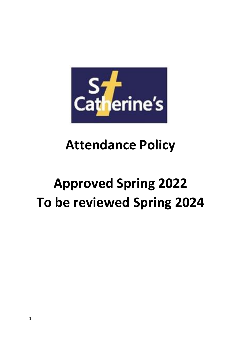

## **Attendance Policy**

# **Approved Spring 2022 To be reviewed Spring 2024**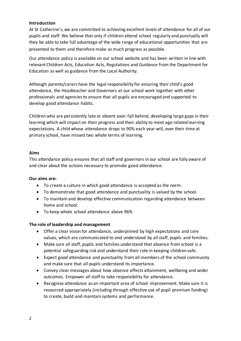#### **Introduction**

At St Catherine's, we are committed to achieving excellent levels of attendance for all of our pupils and staff. We believe that only if children attend school regularly and punctually will they be able to take full advantage of the wide range of educational opportunities that are presented to them and therefore make as much progress as possible.

Our attendance policy is available on our school website and has been written in line with relevant Children Acts, Education Acts, Regulations and Guidance from the Department for Education as well as guidance from the Local Authority.

Although parents/carers have the legal responsibility for ensuring their child's good attendance, the Headteacher and Governors at our school work together with other professionals and agencies to ensure that all pupils are encouraged and supported to develop good attendance habits.

Children who are persistently late or absent soon fall behind, developing large gaps in their learning which will impact on their progress and their ability to meet age related learning expectations. A child whose attendance drops to 90% each year will, over their time at primary school, have missed two whole terms of learning.

#### **Aims**

This attendance policy ensures that all staff and governors in our school are fully aware of and clear about the actions necessary to promote good attendance.

#### **Our aims are:**

- To create a culture in which good attendance is accepted as the norm.
- To demonstrate that good attendance and punctuality is valued by the school.
- To maintain and develop effective communication regarding attendance between home and school.
- To keep whole school attendance above 96%

## **The role of leadership and management**

- Offer a clear vision for attendance, underpinned by high expectations and core values, which are communicated to and understood by all staff, pupils and families.
- Make sure all staff, pupils and families understand that absence from school is a potential safeguarding risk and understand their role in keeping children safe.
- Expect good attendance and punctuality from all members of the school community and make sure that all pupils understand its importance.
- Convey clear messages about how absence affects attainment, wellbeing and wider outcomes. Empower all staff to take responsibility for attendance.
- Recognise attendance as an important area of school improvement. Make sure it is resourced appropriately (including through effective use of pupil premium funding) to create, build and maintain systems and performance.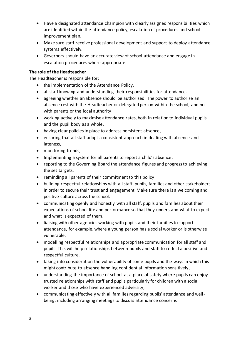- Have a designated attendance champion with clearly assigned responsibilities which are identified within the attendance policy, escalation of procedures and school improvement plan.
- Make sure staff receive professional development and support to deploy attendance systems effectively.
- Governors should have an accurate view of school attendance and engage in escalation procedures where appropriate.

## **The role of the Headteacher**

The Headteacher is responsible for:

- the implementation of the Attendance Policy.
- all staff knowing and understanding their responsibilities for attendance.
- agreeing whether an absence should be authorised. The power to authorise an absence rest with the Headteacher or delegated person within the school, and not with parents or the local authority
- working actively to maximise attendance rates, both in relation to individual pupils and the pupil body as a whole,
- having clear policies in place to address persistent absence,
- ensuring that all staff adopt a consistent approach in dealing with absence and lateness,
- monitoring trends,
- Implementing a system for all parents to report a child's absence,
- reporting to the Governing Board the attendance figures and progress to achieving the set targets,
- reminding all parents of their commitment to this policy,
- building respectful relationships with all staff, pupils, families and other stakeholders in order to secure their trust and engagement. Make sure there is a welcoming and positive culture across the school.
- communicating openly and honestly with all staff, pupils and families about their expectations of school life and performance so that they understand what to expect and what is expected of them.
- liaising with other agencies working with pupils and their families to support attendance, for example, where a young person has a social worker or is otherwise vulnerable.
- modelling respectful relationships and appropriate communication for all staff and pupils. This will help relationships between pupils and staff to reflect a positive and respectful culture.
- taking into consideration the vulnerability of some pupils and the ways in which this might contribute to absence handling confidential information sensitively,
- understanding the importance of school as a place of safety where pupils can enjoy trusted relationships with staff and pupils particularly for children with a social worker and those who have experienced adversity,
- communicating effectively with all families regarding pupils' attendance and wellbeing, including arranging meetings to discuss attendance concerns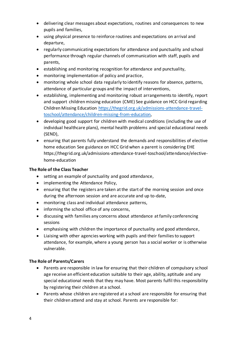- delivering clear messages about expectations, routines and consequences to new pupils and families,
- using physical presence to reinforce routines and expectations on arrival and departure,
- regularly communicating expectations for attendance and punctuality and school performance through regular channels of communication with staff, pupils and parents,
- establishing and monitoring recognition for attendance and punctuality,
- monitoring implementation of policy and practice,
- monitoring whole school data regularly to identify reasons for absence, patterns, attendance of particular groups and the impact of interventions,
- establishing, implementing and monitoring robust arrangements to identify, report and support children missing education (CME) See guidance on HCC Grid regarding Children Missing Education https://thegrid.org.uk/admissions-attendance-traveltoschool/attendance/children-missing-from-education,
- developing good support for children with medical conditions (including the use of individual healthcare plans), mental health problems and special educational needs (SEND),
- ensuring that parents fully understand the demands and responsibilities of elective home education See guidance on HCC Grid when a parent is considering EHE https://thegrid.org.uk/admissions-attendance-travel-toschool/attendance/electivehome-education

## **The Role of the Class Teacher**

- setting an example of punctuality and good attendance,
- implementing the Attendance Policy,
- ensuring that the registers are taken at the start of the morning session and once during the afternoon session and are accurate and up to-date,
- monitoring class and individual attendance patterns,
- informing the school office of any concerns,
- discussing with families any concerns about attendance at family conferencing sessions
- emphasising with children the importance of punctuality and good attendance,
- Liaising with other agencies working with pupils and their families to support attendance, for example, where a young person has a social worker or is otherwise vulnerable.

## **The Role of Parents/Carers**

- Parents are responsible in law for ensuring that their children of compulsory school age receive an efficient education suitable to their age, ability, aptitude and any special educational needs that they may have. Most parents fulfil this responsibility by registering their children at a school.
- Parents whose children are registered at a school are responsible for ensuring that their children attend and stay at school. Parents are responsible for: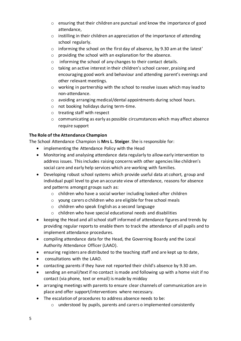- o ensuring that their children are punctual and know the importance of good attendance,
- o instilling in their children an appreciation of the importance of attending school regularly.
- $\circ$  informing the school on the first day of absence, by 9.30 am at the latest'
- o providing the school with an explanation for the absence.
- o informing the school of any changes to their contact details.
- o taking an active interest in their children's school career, praising and encouraging good work and behaviour and attending parent's evenings and other relevant meetings.
- $\circ$  working in partnership with the school to resolve issues which may lead to non-attendance.
- o avoiding arranging medical/dental appointments during school hours.
- o not booking holidays during term-time.
- o treating staff with respect
- $\circ$  communicating as early as possible circumstances which may affect absence require support

## **The Role of the Attendance Champion**

The School Attendance Champion is **Mrs L. Steiger**. She is responsible for:

- implementing the Attendance Policy with the Head
- Monitoring and analysing attendance data regularly to allow early intervention to address issues. This includes raising concerns with other agencies like children's social care and early help services which are working with families.
- Developing robust school systems which provide useful data at cohort, group and individual pupil level to give an accurate view of attendance, reasons for absence and patterns amongst groups such as:
	- o children who have a social worker including looked-after children
	- o young carers o children who are eligible for free school meals
	- o children who speak English as a second language
	- o children who have special educational needs and disabilities
- keeping the Head and all school staff informed of attendance figures and trends by providing regular reports to enable them to track the attendance of all pupils and to implement attendance procedures.
- compiling attendance data for the Head, the Governing Boardy and the Local Authority Attendance Officer (LAAO).
- ensuring registers are distributed to the teaching staff and are kept up to date,
- consultations with the LAAO.
- contacting parents if they have not reported their child's absence by 9.30 am.
- sending an email/text if no contact is made and following up with a home visit if no contact (via phone, text or email) is made by midday
- arranging meetings with parents to ensure clear channels of communication are in place and offer support/interventions where necessary.
- The escalation of procedures to address absence needs to be:
	- o understood by pupils, parents and carers o implemented consistently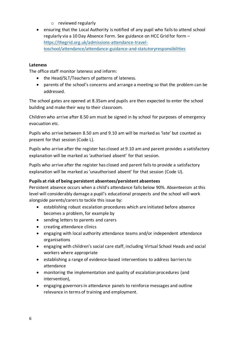- o reviewed regularly
- ensuring that the Local Authority is notified of any pupil who fails to attend school regularly via a 10 Day Absence Form. See guidance on HCC Grid for form – https://thegrid.org.uk/admissions-attendance-traveltoschool/attendance/attendance-guidance-and-statutoryresponsibilities

## **Lateness**

The office staff monitor lateness and inform:

- the Head/SLT/Teachers of patterns of lateness.
- parents of the school's concerns and arrange a meeting so that the problem can be addressed.

The school gates are opened at 8.35am and pupils are then expected to enter the school building and make their way to their classroom.

Children who arrive after 8.50 am must be signed in by school for purposes of emergency evacuation etc.

Pupils who arrive between 8.50 am and 9.10 am will be marked as 'late' but counted as present for that session (Code L).

Pupils who arrive after the register has closed at 9.10 am and parent provides a satisfactory explanation will be marked as 'authorised absent' for that session.

Pupils who arrive after the register has closed and parent fails to provide a satisfactory explanation will be marked as 'unauthorised absent' for that session (Code U).

## **Pupils at risk of being persistent absentees/persistent absentees**

Persistent absence occurs when a child's attendance falls below 90%. Absenteeism at this level will considerably damage a pupil's educational prospects and the school will work alongside parents/carers to tackle this issue by:

- establishing robust escalation procedures which are initiated before absence becomes a problem, for example by
- sending letters to parents and carers
- creating attendance clinics
- engaging with local authority attendance teams and/or independent attendance organisations
- engaging with children's social care staff, including Virtual School Heads and social workers where appropriate
- establishing a range of evidence-based interventions to address barriers to attendance
- monitoring the implementation and quality of escalation procedures (and intervention),
- engaging governors in attendance panels to reinforce messages and outline relevance in terms of training and employment.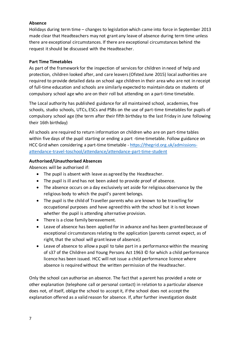## **Absence**

Holidays during term time – changes to legislation which came into force in September 2013 made clear that Headteachers may not grant any leave of absence during term time unless there are exceptional circumstances. If there are exceptional circumstances behind the request it should be discussed with the Headteacher.

## **Part Time Timetables**

As part of the framework for the inspection of services for children in need of help and protection, children looked after, and care leavers (Ofsted June 2015) local authorities are required to provide detailed data on school age children in their area who are not in receipt of full-time education and schools are similarly expected to maintain data on students of compulsory school age who are on their roll but attending on a part-time timetable.

The Local authority has published guidance for all maintained school, academies, free schools, studio schools, UTCs, ESCs and PSBs on the use of part-time timetables for pupils of compulsory school age (the term after their fifth birthday to the last Friday in June following their 16th birthday)

All schools are required to return information on children who are on part-time tables within five days of the pupil starting or ending a part -time timetable. Follow guidance on HCC Grid when considering a part-time timetable - https://thegrid.org.uk/admissionsattendance-travel-toschool/attendance/attendance-part-time-student

## **Authorised/Unauthorised Absences**

Absences will be authorised if:

- The pupil is absent with leave as agreed by the Headteacher.
- The pupil is ill and has not been asked to provide proof of absence.
- The absence occurs on a day exclusively set aside for religious observance by the religious body to which the pupil's parent belongs.
- The pupil is the child of Traveller parents who are known to be travelling for occupational purposes and have agreed this with the school but it is not known whether the pupil is attending alternative provision.
- There is a close family bereavement.
- Leave of absence has been applied for in advance and has been granted because of exceptional circumstances relating to the application (parents cannot expect, as of right, that the school will grant leave of absence).
- Leave of absence to allow a pupil to take part in a performance within the meaning of s37 of the Children and Young Persons Act 1963 © for which a child performance licence has been issued. HCC will not issue a child performance licence where absence is required without the written permission of the Headteacher.

Only the school can authorise an absence. The fact that a parent has provided a note or other explanation (telephone call or personal contact) in relation to a particular absence does not, of itself, oblige the school to accept it, if the school does not accept the explanation offered as a valid reason for absence. If, after further investigation doubt